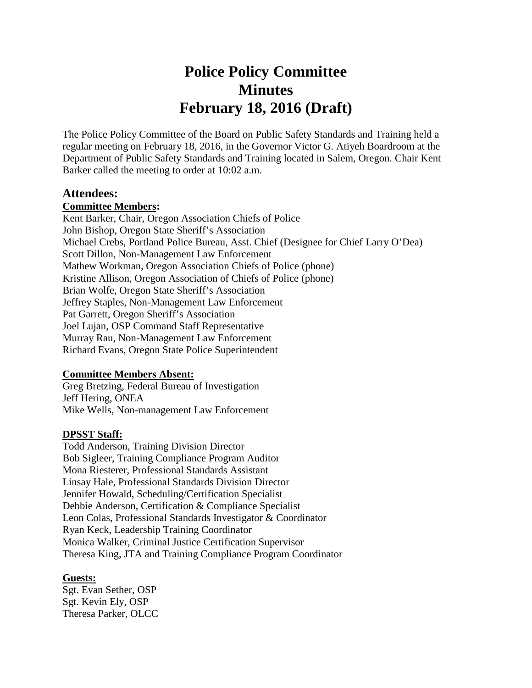# **Police Policy Committee Minutes February 18, 2016 (Draft)**

The Police Policy Committee of the Board on Public Safety Standards and Training held a regular meeting on February 18, 2016, in the Governor Victor G. Atiyeh Boardroom at the Department of Public Safety Standards and Training located in Salem, Oregon. Chair Kent Barker called the meeting to order at 10:02 a.m.

#### **Attendees:**

#### **Committee Members:**

Kent Barker, Chair, Oregon Association Chiefs of Police John Bishop, Oregon State Sheriff's Association Michael Crebs, Portland Police Bureau, Asst. Chief (Designee for Chief Larry O'Dea) Scott Dillon, Non-Management Law Enforcement Mathew Workman, Oregon Association Chiefs of Police (phone) Kristine Allison, Oregon Association of Chiefs of Police (phone) Brian Wolfe, Oregon State Sheriff's Association Jeffrey Staples, Non-Management Law Enforcement Pat Garrett, Oregon Sheriff's Association Joel Lujan, OSP Command Staff Representative Murray Rau, Non-Management Law Enforcement Richard Evans, Oregon State Police Superintendent

#### **Committee Members Absent:**

Greg Bretzing, Federal Bureau of Investigation Jeff Hering, ONEA Mike Wells, Non-management Law Enforcement

#### **DPSST Staff:**

Todd Anderson, Training Division Director Bob Sigleer, Training Compliance Program Auditor Mona Riesterer, Professional Standards Assistant Linsay Hale, Professional Standards Division Director Jennifer Howald, Scheduling/Certification Specialist Debbie Anderson, Certification & Compliance Specialist Leon Colas, Professional Standards Investigator & Coordinator Ryan Keck, Leadership Training Coordinator Monica Walker, Criminal Justice Certification Supervisor Theresa King, JTA and Training Compliance Program Coordinator

#### **Guests:**

Sgt. Evan Sether, OSP Sgt. Kevin Ely, OSP Theresa Parker, OLCC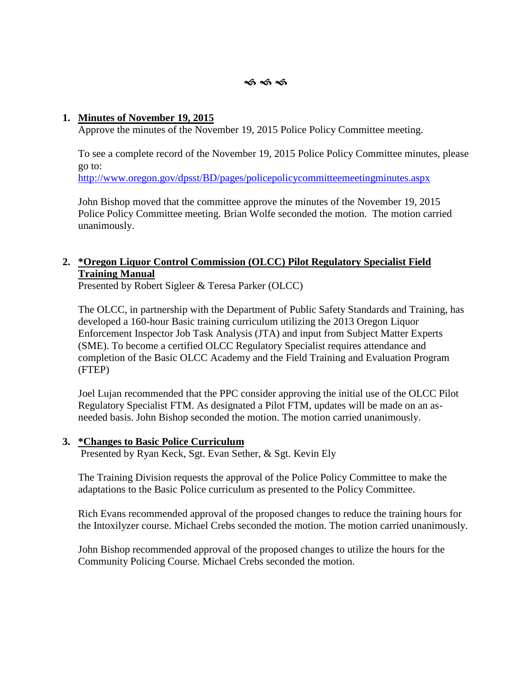# **1. Minutes of November 19, 2015**

Approve the minutes of the November 19, 2015 Police Policy Committee meeting.

To see a complete record of the November 19, 2015 Police Policy Committee minutes, please go to:

http://www.oregon.gov/dpsst/BD/pages/policepolicycommitteemeetingminutes.aspx

John Bishop moved that the committee approve the minutes of the November 19, 2015 Police Policy Committee meeting. Brian Wolfe seconded the motion. The motion carried unanimously.

# **2. \*Oregon Liquor Control Commission (OLCC) Pilot Regulatory Specialist Field Training Manual**

Presented by Robert Sigleer & Teresa Parker (OLCC)

The OLCC, in partnership with the Department of Public Safety Standards and Training, has developed a 160-hour Basic training curriculum utilizing the 2013 Oregon Liquor Enforcement Inspector Job Task Analysis (JTA) and input from Subject Matter Experts (SME). To become a certified OLCC Regulatory Specialist requires attendance and completion of the Basic OLCC Academy and the Field Training and Evaluation Program (FTEP)

Joel Lujan recommended that the PPC consider approving the initial use of the OLCC Pilot Regulatory Specialist FTM. As designated a Pilot FTM, updates will be made on an as needed basis. John Bishop seconded the motion. The motion carried unanimously.

# **3. \*Changes to Basic Police Curriculum**

Presented by Ryan Keck, Sgt. Evan Sether, & Sgt. Kevin Ely

The Training Division requests the approval of the Police Policy Committee to make the adaptations to the Basic Police curriculum as presented to the Policy Committee.

Rich Evans recommended approval of the proposed changes to reduce the training hours for the Intoxilyzer course. Michael Crebs seconded the motion. The motion carried unanimously.

John Bishop recommended approval of the proposed changes to utilize the hours for the Community Policing Course. Michael Crebs seconded the motion.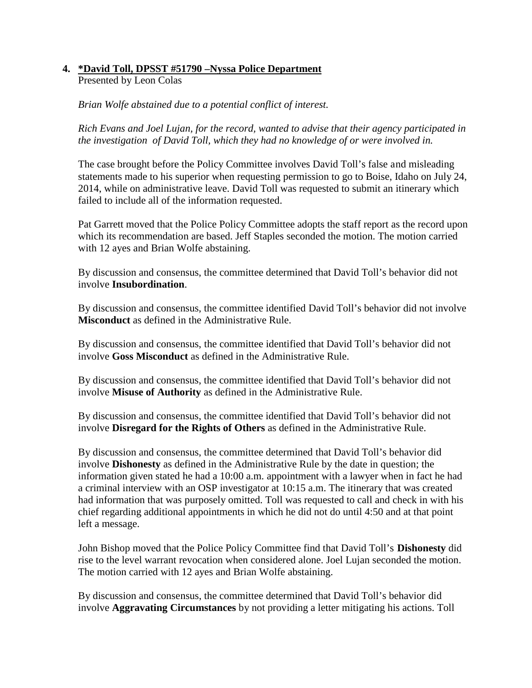# **4. \*David Toll, DPSST #51790 –Nyssa Police Department**

Presented by Leon Colas

*Brian Wolfe abstained due to a potential conflict of interest.*

*Rich Evans and Joel Lujan, for the record, wanted to advise that their agency participated in the investigation of David Toll, which they had no knowledge of or were involved in.*

The case brought before the Policy Committee involves David Toll's false and misleading statements made to his superior when requesting permission to go to Boise, Idaho on July 24, 2014, while on administrative leave. David Toll was requested to submit an itinerary which failed to include all of the information requested.

Pat Garrett moved that the Police Policy Committee adopts the staff report as the record upon which its recommendation are based. Jeff Staples seconded the motion. The motion carried with 12 ayes and Brian Wolfe abstaining.

By discussion and consensus, the committee determined that David Toll's behavior did not involve **Insubordination**.

By discussion and consensus, the committee identified David Toll's behavior did not involve **Misconduct** as defined in the Administrative Rule.

By discussion and consensus, the committee identified that David Toll's behavior did not involve **Goss Misconduct** as defined in the Administrative Rule.

By discussion and consensus, the committee identified that David Toll's behavior did not involve **Misuse of Authority** as defined in the Administrative Rule.

By discussion and consensus, the committee identified that David Toll's behavior did not involve **Disregard for the Rights of Others** as defined in the Administrative Rule.

By discussion and consensus, the committee determined that David Toll's behavior did involve **Dishonesty** as defined in the Administrative Rule by the date in question; the information given stated he had a 10:00 a.m. appointment with a lawyer when in fact he had a criminal interview with an OSP investigator at 10:15 a.m. The itinerary that was created had information that was purposely omitted. Toll was requested to call and check in with his chief regarding additional appointments in which he did not do until 4:50 and at that point left a message.

John Bishop moved that the Police Policy Committee find that David Toll's **Dishonesty** did rise to the level warrant revocation when considered alone. Joel Lujan seconded the motion. The motion carried with 12 ayes and Brian Wolfe abstaining.

By discussion and consensus, the committee determined that David Toll's behavior did involve **Aggravating Circumstances** by not providing a letter mitigating his actions. Toll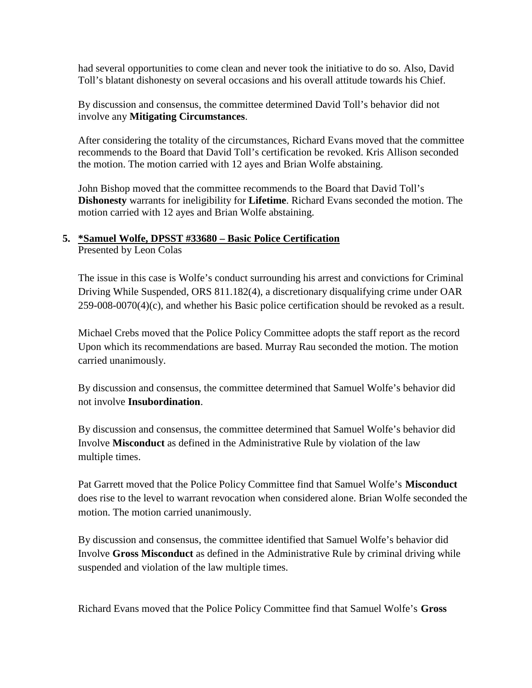had several opportunities to come clean and never took the initiative to do so. Also, David Toll's blatant dishonesty on several occasions and his overall attitude towards his Chief.

By discussion and consensus, the committee determined David Toll's behavior did not involve any **Mitigating Circumstances**.

After considering the totality of the circumstances, Richard Evans moved that the committee recommends to the Board that David Toll's certification be revoked. Kris Allison seconded the motion. The motion carried with 12 ayes and Brian Wolfe abstaining.

John Bishop moved that the committee recommends to the Board that David Toll's **Dishonesty** warrants for ineligibility for **Lifetime**. Richard Evans seconded the motion. The motion carried with 12 ayes and Brian Wolfe abstaining.

# **5. \*Samuel Wolfe, DPSST #33680 – Basic Police Certification**

Presented by Leon Colas

The issue in this case is Wolfe's conduct surrounding his arrest and convictions for Criminal Driving While Suspended, ORS 811.182(4), a discretionary disqualifying crime under OAR 259-008-0070(4)(c), and whether his Basic police certification should be revoked as a result.

Michael Crebs moved that the Police Policy Committee adopts the staff report as the record Upon which its recommendations are based. Murray Rau seconded the motion. The motion carried unanimously.

By discussion and consensus, the committee determined that Samuel Wolfe's behavior did not involve **Insubordination**.

By discussion and consensus, the committee determined that Samuel Wolfe's behavior did Involve **Misconduct** as defined in the Administrative Rule by violation of the law multiple times.

Pat Garrett moved that the Police Policy Committee find that Samuel Wolfe's **Misconduct** does rise to the level to warrant revocation when considered alone. Brian Wolfe seconded the motion. The motion carried unanimously.

By discussion and consensus, the committee identified that Samuel Wolfe's behavior did Involve **Gross Misconduct** as defined in the Administrative Rule by criminal driving while suspended and violation of the law multiple times.

Richard Evans moved that the Police Policy Committee find that Samuel Wolfe's **Gross**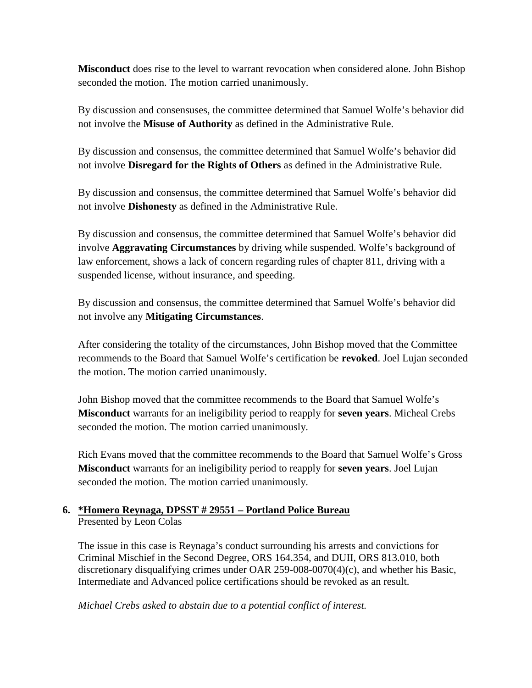**Misconduct** does rise to the level to warrant revocation when considered alone. John Bishop seconded the motion. The motion carried unanimously.

By discussion and consensuses, the committee determined that Samuel Wolfe's behavior did not involve the **Misuse of Authority** as defined in the Administrative Rule.

By discussion and consensus, the committee determined that Samuel Wolfe's behavior did not involve **Disregard for the Rights of Others** as defined in the Administrative Rule.

By discussion and consensus, the committee determined that Samuel Wolfe's behavior did not involve **Dishonesty** as defined in the Administrative Rule.

By discussion and consensus, the committee determined that Samuel Wolfe's behavior did involve **Aggravating Circumstances** by driving while suspended. Wolfe's background of law enforcement, shows a lack of concern regarding rules of chapter 811, driving with a suspended license, without insurance, and speeding.

By discussion and consensus, the committee determined that Samuel Wolfe's behavior did not involve any **Mitigating Circumstances**.

After considering the totality of the circumstances, John Bishop moved that the Committee recommends to the Board that Samuel Wolfe's certification be **revoked**. Joel Lujan seconded the motion. The motion carried unanimously.

John Bishop moved that the committee recommends to the Board that Samuel Wolfe's **Misconduct** warrants for an ineligibility period to reapply for **seven years**. Micheal Crebs seconded the motion. The motion carried unanimously.

Rich Evans moved that the committee recommends to the Board that Samuel Wolfe's Gross **Misconduct** warrants for an ineligibility period to reapply for **seven years**. Joel Lujan seconded the motion. The motion carried unanimously.

# **6. \*Homero Reynaga, DPSST # 29551 – Portland Police Bureau** Presented by Leon Colas

The issue in this case is Reynaga's conduct surrounding his arrests and convictions for Criminal Mischief in the Second Degree, ORS 164.354, and DUII, ORS 813.010, both discretionary disqualifying crimes under OAR 259-008-0070(4)(c), and whether his Basic, Intermediate and Advanced police certifications should be revoked as an result.

*Michael Crebs asked to abstain due to a potential conflict of interest.*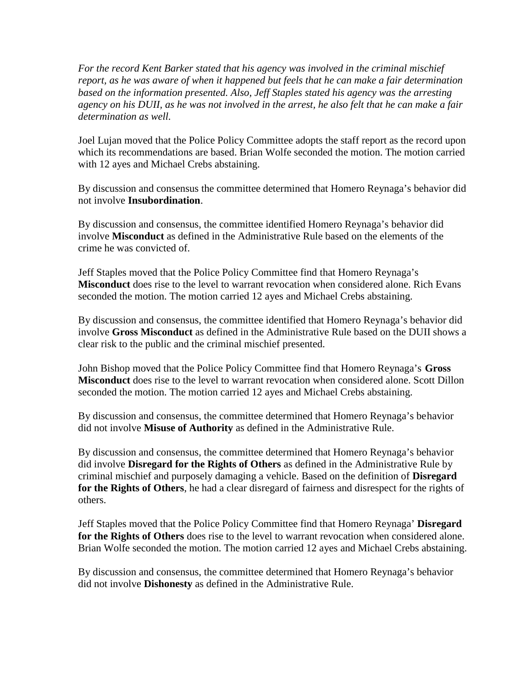*For the record Kent Barker stated that his agency was involved in the criminal mischief report, as he was aware of when it happened but feels that he can make a fair determination based on the information presented. Also, Jeff Staples stated his agency was the arresting agency on his DUII, as he was not involved in the arrest, he also felt that he can make a fair determination as well.*

Joel Lujan moved that the Police Policy Committee adopts the staff report as the record upon which its recommendations are based. Brian Wolfe seconded the motion. The motion carried with 12 ayes and Michael Crebs abstaining.

By discussion and consensus the committee determined that Homero Reynaga's behavior did not involve **Insubordination**.

By discussion and consensus, the committee identified Homero Reynaga's behavior did involve **Misconduct** as defined in the Administrative Rule based on the elements of the crime he was convicted of.

Jeff Staples moved that the Police Policy Committee find that Homero Reynaga's **Misconduct** does rise to the level to warrant revocation when considered alone. Rich Evans seconded the motion. The motion carried 12 ayes and Michael Crebs abstaining.

By discussion and consensus, the committee identified that Homero Reynaga's behavior did involve **Gross Misconduct** as defined in the Administrative Rule based on the DUII shows a clear risk to the public and the criminal mischief presented.

John Bishop moved that the Police Policy Committee find that Homero Reynaga's **Gross Misconduct** does rise to the level to warrant revocation when considered alone. Scott Dillon seconded the motion. The motion carried 12 ayes and Michael Crebs abstaining.

By discussion and consensus, the committee determined that Homero Reynaga's behavior did not involve **Misuse of Authority** as defined in the Administrative Rule.

By discussion and consensus, the committee determined that Homero Reynaga's behavior did involve **Disregard for the Rights of Others** as defined in the Administrative Rule by criminal mischief and purposely damaging a vehicle. Based on the definition of **Disregard for the Rights of Others**, he had a clear disregard of fairness and disrespect for the rights of others.

Jeff Staples moved that the Police Policy Committee find that Homero Reynaga' **Disregard for the Rights of Others** does rise to the level to warrant revocation when considered alone. Brian Wolfe seconded the motion. The motion carried 12 ayes and Michael Crebs abstaining.

By discussion and consensus, the committee determined that Homero Reynaga's behavior did not involve **Dishonesty** as defined in the Administrative Rule.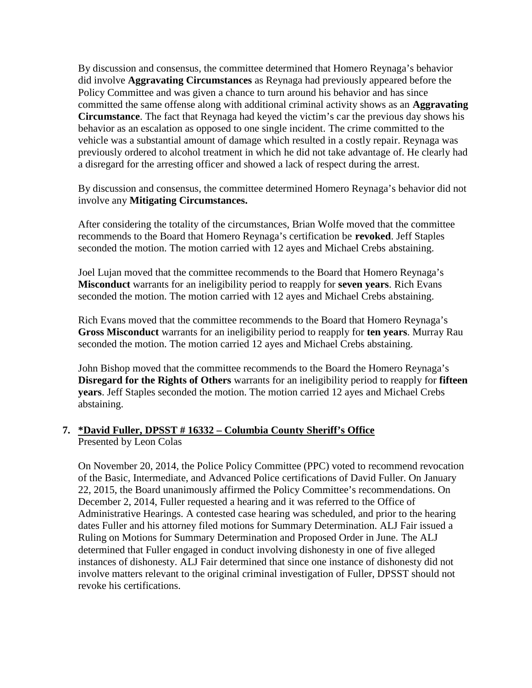By discussion and consensus, the committee determined that Homero Reynaga's behavior did involve **Aggravating Circumstances** as Reynaga had previously appeared before the Policy Committee and was given a chance to turn around his behavior and has since committed the same offense along with additional criminal activity shows as an **Aggravating Circumstance**. The fact that Reynaga had keyed the victim's car the previous day shows his behavior as an escalation as opposed to one single incident. The crime committed to the vehicle was a substantial amount of damage which resulted in a costly repair. Reynaga was previously ordered to alcohol treatment in which he did not take advantage of.He clearly had a disregard for the arresting officer and showed a lack of respect during the arrest.

By discussion and consensus, the committee determined Homero Reynaga's behavior did not involve any **Mitigating Circumstances.**

After considering the totality of the circumstances, Brian Wolfe moved that the committee recommends to the Board that Homero Reynaga's certification be **revoked**. Jeff Staples seconded the motion. The motion carried with 12 ayes and Michael Crebs abstaining.

Joel Lujan moved that the committee recommends to the Board that Homero Reynaga's **Misconduct** warrants for an ineligibility period to reapply for **seven years**. Rich Evans seconded the motion. The motion carried with 12 ayes and Michael Crebs abstaining.

Rich Evans moved that the committee recommends to the Board that Homero Reynaga's **Gross Misconduct** warrants for an ineligibility period to reapply for **ten years**. Murray Rau seconded the motion. The motion carried 12 ayes and Michael Crebs abstaining.

John Bishop moved that the committee recommends to the Board the Homero Reynaga's **Disregard for the Rights of Others** warrants for an ineligibility period to reapply for **fifteen years**. Jeff Staples seconded the motion. The motion carried 12 ayes and Michael Crebs abstaining.

# **7. \*David Fuller, DPSST # 16332 – Columbia County Sheriff's Office** Presented by Leon Colas

On November 20, 2014, the Police Policy Committee (PPC) voted to recommend revocation of the Basic, Intermediate, and Advanced Police certifications of David Fuller. On January 22, 2015, the Board unanimously affirmed the Policy Committee's recommendations. On December 2, 2014, Fuller requested a hearing and it was referred to the Office of Administrative Hearings. A contested case hearing was scheduled, and prior to the hearing dates Fuller and his attorney filed motions for Summary Determination. ALJ Fair issued a Ruling on Motions for Summary Determination and Proposed Order in June. The ALJ determined that Fuller engaged in conduct involving dishonesty in one of five alleged instances of dishonesty. ALJ Fair determined that since one instance of dishonesty did not involve matters relevant to the original criminal investigation of Fuller, DPSST should not revoke his certifications.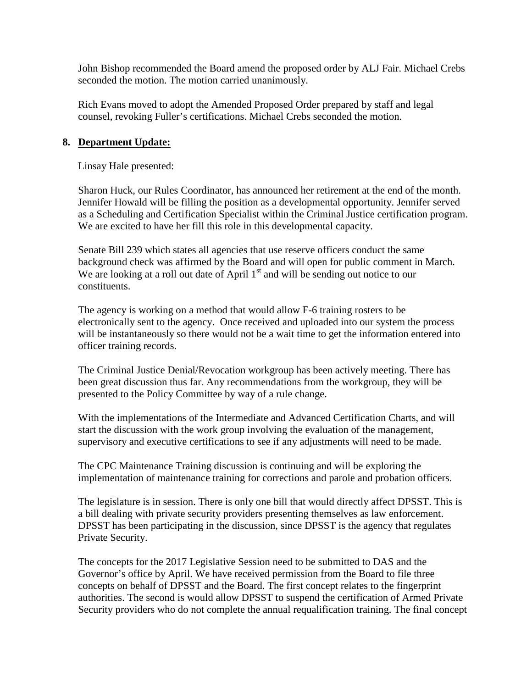John Bishop recommended the Board amend the proposed order by ALJ Fair. Michael Crebs seconded the motion. The motion carried unanimously.

Rich Evans moved to adopt the Amended Proposed Order prepared by staff and legal counsel, revoking Fuller's certifications. Michael Crebs seconded the motion.

#### **8. Department Update:**

Linsay Hale presented:

Sharon Huck, our Rules Coordinator, has announced her retirement at the end of the month. Jennifer Howald will be filling the position as a developmental opportunity. Jennifer served as a Scheduling and Certification Specialist within the Criminal Justice certification program. We are excited to have her fill this role in this developmental capacity.

Senate Bill 239 which states all agencies that use reserve officers conduct the same background check was affirmed by the Board and will open for public comment in March. We are looking at a roll out date of April  $1<sup>st</sup>$  and will be sending out notice to our constituents.

The agency is working on a method that would allow F-6 training rosters to be electronically sent to the agency. Once received and uploaded into our system the process will be instantaneously so there would not be a wait time to get the information entered into officer training records.

The Criminal Justice Denial/Revocation workgroup has been actively meeting. There has been great discussion thus far. Any recommendations from the workgroup, they will be presented to the Policy Committee by way of a rule change.

With the implementations of the Intermediate and Advanced Certification Charts, and will start the discussion with the work group involving the evaluation of the management, supervisory and executive certifications to see if any adjustments will need to be made.

The CPC Maintenance Training discussion is continuing and will be exploring the implementation of maintenance training for corrections and parole and probation officers.

The legislature is in session. There is only one bill that would directly affect DPSST. This is a bill dealing with private security providers presenting themselves as law enforcement. DPSST has been participating in the discussion, since DPSST is the agency that regulates Private Security.

The concepts for the 2017 Legislative Session need to be submitted to DAS and the Governor's office by April. We have received permission from the Board to file three concepts on behalf of DPSST and the Board. The first concept relates to the fingerprint authorities. The second is would allow DPSST to suspend the certification of Armed Private Security providers who do not complete the annual requalification training. The final concept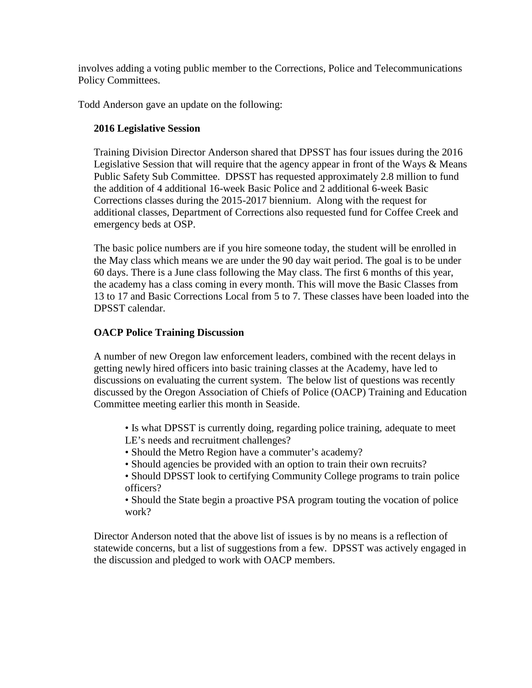involves adding a voting public member to the Corrections, Police and Telecommunications Policy Committees.

Todd Anderson gave an update on the following:

# **2016 Legislative Session**

Training Division Director Anderson shared that DPSST has four issues during the 2016 Legislative Session that will require that the agency appear in front of the Ways & Means Public Safety Sub Committee. DPSST has requested approximately 2.8 million to fund the addition of 4 additional 16-week Basic Police and 2 additional 6-week Basic Corrections classes during the 2015-2017 biennium. Along with the request for additional classes, Department of Corrections also requested fund for Coffee Creek and emergency beds at OSP.

The basic police numbers are if you hire someone today, the student will be enrolled in the May class which means we are under the 90 day wait period. The goal is to be under 60 days. There is a June class following the May class. The first 6 months of this year, the academy has a class coming in every month. This will move the Basic Classes from 13 to 17 and Basic Corrections Local from 5 to 7. These classes have been loaded into the DPSST calendar.

#### **OACP Police Training Discussion**

A number of new Oregon law enforcement leaders, combined with the recent delays in getting newly hired officers into basic training classes at the Academy, have led to discussions on evaluating the current system. The below list of questions was recently discussed by the Oregon Association of Chiefs of Police (OACP) Training and Education Committee meeting earlier this month in Seaside.

- Is what DPSST is currently doing, regarding police training, adequate to meet LE's needs and recruitment challenges?
- Should the Metro Region have a commuter's academy?
- Should agencies be provided with an option to train their own recruits?
- Should DPSST look to certifying Community College programs to train police officers?
- Should the State begin a proactive PSA program touting the vocation of police work?

Director Anderson noted that the above list of issues is by no means is a reflection of statewide concerns, but a list of suggestions from a few. DPSST was actively engaged in the discussion and pledged to work with OACP members.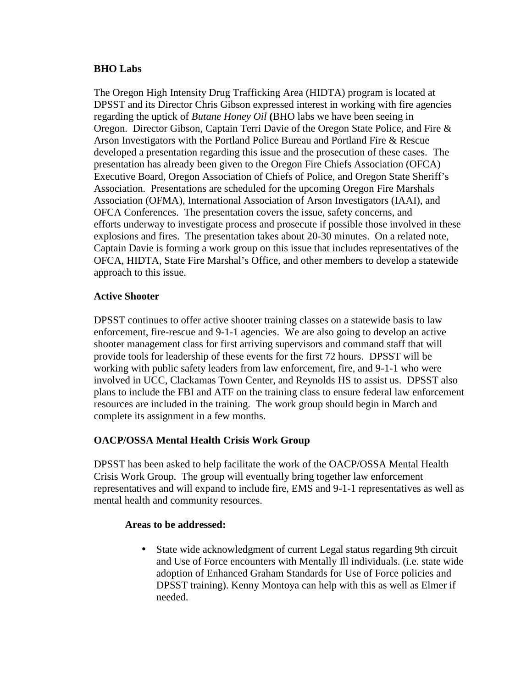#### **BHO Labs**

The Oregon High Intensity Drug Trafficking Area (HIDTA) program is located at DPSST and its Director Chris Gibson expressed interest in working with fire agencies regarding the uptick of *Butane Honey Oil* **(**BHO labs we have been seeing in Oregon. Director Gibson, Captain Terri Davie of the Oregon State Police, and Fire & Arson Investigators with the Portland Police Bureau and Portland Fire & Rescue developed a presentation regarding this issue and the prosecution of these cases. The presentation has already been given to the Oregon Fire Chiefs Association (OFCA) Executive Board, Oregon Association of Chiefs of Police, and Oregon State Sheriff's Association. Presentations are scheduled for the upcoming Oregon Fire Marshals Association (OFMA), International Association of Arson Investigators (IAAI), and OFCA Conferences. The presentation covers the issue, safety concerns, and efforts underway to investigate process and prosecute if possible those involved in these explosions and fires. The presentation takes about 20-30 minutes. On a related note, Captain Davie is forming a work group on this issue that includes representatives of the OFCA, HIDTA, State Fire Marshal's Office, and other members to develop a statewide approach to this issue.

# **Active Shooter**

DPSST continues to offer active shooter training classes on a statewide basis to law enforcement, fire-rescue and 9-1-1 agencies. We are also going to develop an active shooter management class for first arriving supervisors and command staff that will provide tools for leadership of these events for the first 72 hours. DPSST will be working with public safety leaders from law enforcement, fire, and 9-1-1 who were involved in UCC, Clackamas Town Center, and Reynolds HS to assist us. DPSST also plans to include the FBI and ATF on the training class to ensure federal law enforcement resources are included in the training. The work group should begin in March and complete its assignment in a few months.

# **OACP/OSSA Mental Health Crisis Work Group**

DPSST has been asked to help facilitate the work of the OACP/OSSA Mental Health Crisis Work Group. The group will eventually bring together law enforcement representatives and will expand to include fire, EMS and 9-1-1 representatives as well as mental health and community resources.

# **Areas to be addressed:**

 State wide acknowledgment of current Legal status regarding 9th circuit and Use of Force encounters with Mentally Ill individuals. (i.e. state wide adoption of Enhanced Graham Standards for Use of Force policies and DPSST training). Kenny Montoya can help with this as well as Elmer if needed.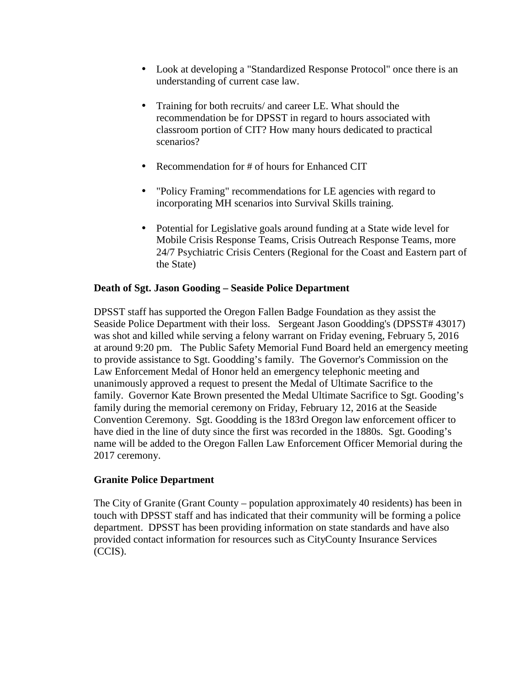- Look at developing a "Standardized Response Protocol" once there is an understanding of current case law.
- Training for both recruits/ and career LE. What should the recommendation be for DPSST in regard to hours associated with classroom portion of CIT? How many hours dedicated to practical scenarios?
- Recommendation for # of hours for Enhanced CIT
- "Policy Framing" recommendations for LE agencies with regard to incorporating MH scenarios into Survival Skills training.
- Potential for Legislative goals around funding at a State wide level for Mobile Crisis Response Teams, Crisis Outreach Response Teams, more 24/7 Psychiatric Crisis Centers (Regional for the Coast and Eastern part of the State)

# **Death of Sgt. Jason Gooding – Seaside Police Department**

DPSST staff has supported the Oregon Fallen Badge Foundation as they assist the Seaside Police Department with their loss. Sergeant Jason Goodding's (DPSST# 43017) was shot and killed while serving a felony warrant on Friday evening, February 5, 2016 at around 9:20 pm. The Public Safety Memorial Fund Board held an emergency meeting to provide assistance to Sgt. Goodding's family. The Governor's Commission on the Law Enforcement Medal of Honor held an emergency telephonic meeting and unanimously approved a request to present the Medal of Ultimate Sacrifice to the family. Governor Kate Brown presented the Medal Ultimate Sacrifice to Sgt. Gooding's family during the memorial ceremony on Friday, February 12, 2016 at the Seaside Convention Ceremony. Sgt. Goodding is the 183rd Oregon law enforcement officer to have died in the line of duty since the first was recorded in the 1880s. Sgt. Gooding's name will be added to the Oregon Fallen Law Enforcement Officer Memorial during the 2017 ceremony.

#### **Granite Police Department**

The City of Granite (Grant County – population approximately 40 residents) has been in touch with DPSST staff and has indicated that their community will be forming a police department. DPSST has been providing information on state standards and have also provided contact information for resources such as CityCounty Insurance Services (CCIS).